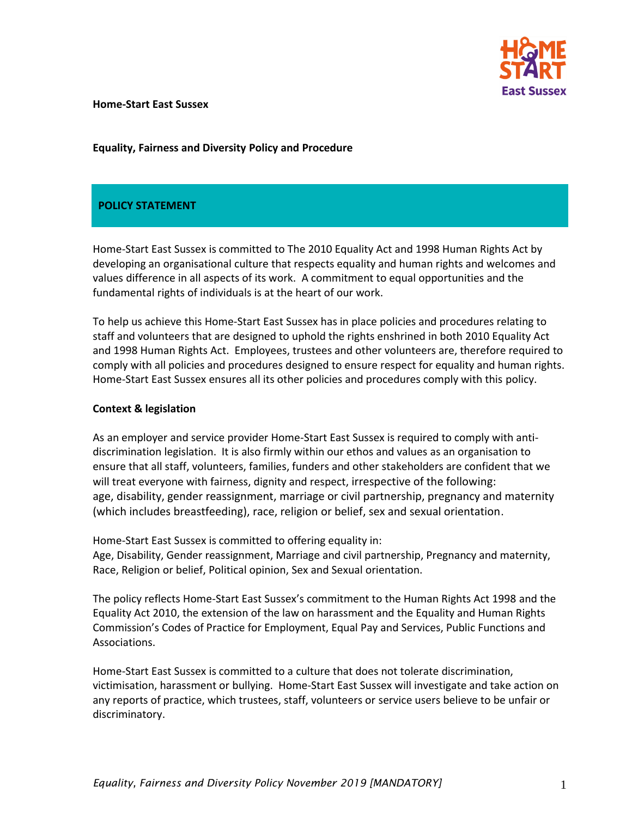

#### **Home-Start East Sussex**

# **Equality, Fairness and Diversity Policy and Procedure**

# **POLICY STATEMENT**

Home-Start East Sussex is committed to The 2010 Equality Act and 1998 Human Rights Act by developing an organisational culture that respects equality and human rights and welcomes and values difference in all aspects of its work. A commitment to equal opportunities and the fundamental rights of individuals is at the heart of our work.

To help us achieve this Home-Start East Sussex has in place policies and procedures relating to staff and volunteers that are designed to uphold the rights enshrined in both 2010 Equality Act and 1998 Human Rights Act. Employees, trustees and other volunteers are, therefore required to comply with all policies and procedures designed to ensure respect for equality and human rights. Home-Start East Sussex ensures all its other policies and procedures comply with this policy.

#### **Context & legislation**

As an employer and service provider Home-Start East Sussex is required to comply with antidiscrimination legislation. It is also firmly within our ethos and values as an organisation to ensure that all staff, volunteers, families, funders and other stakeholders are confident that we will treat everyone with fairness, dignity and respect, irrespective of the following: age, disability, gender reassignment, marriage or civil partnership, pregnancy and maternity (which includes breastfeeding), race, religion or belief, sex and sexual orientation.

Home-Start East Sussex is committed to offering equality in: Age, Disability, Gender reassignment, Marriage and civil partnership, Pregnancy and maternity, Race, Religion or belief, Political opinion, Sex and Sexual orientation.

The policy reflects Home-Start East Sussex's commitment to the Human Rights Act 1998 and the Equality Act 2010, the extension of the law on harassment and the Equality and Human Rights Commission's Codes of Practice for Employment, Equal Pay and Services, Public Functions and Associations.

Home-Start East Sussex is committed to a culture that does not tolerate discrimination, victimisation, harassment or bullying. Home-Start East Sussex will investigate and take action on any reports of practice, which trustees, staff, volunteers or service users believe to be unfair or discriminatory.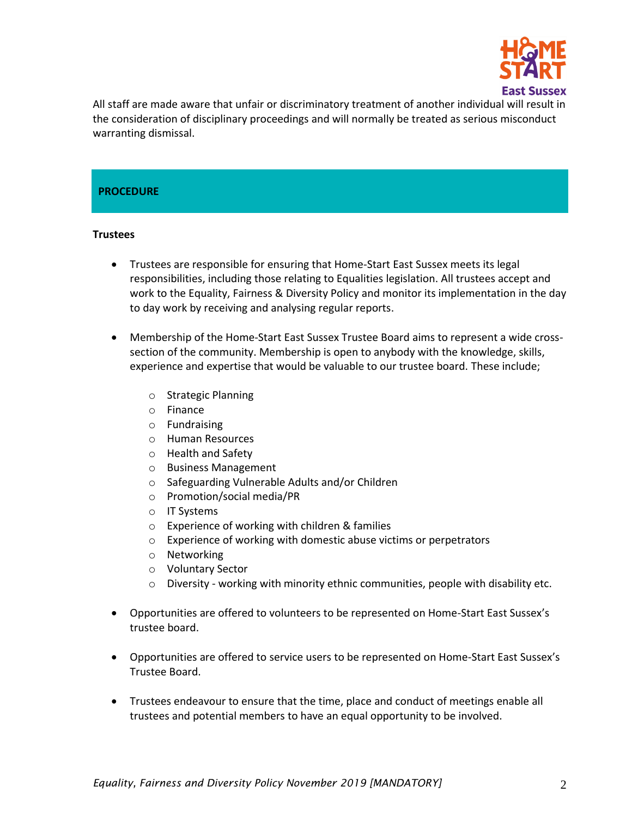

All staff are made aware that unfair or discriminatory treatment of another individual will result in the consideration of disciplinary proceedings and will normally be treated as serious misconduct warranting dismissal.

# **PROCEDURE**

#### **Trustees**

- Trustees are responsible for ensuring that Home-Start East Sussex meets its legal responsibilities, including those relating to Equalities legislation. All trustees accept and work to the Equality, Fairness & Diversity Policy and monitor its implementation in the day to day work by receiving and analysing regular reports.
- Membership of the Home-Start East Sussex Trustee Board aims to represent a wide crosssection of the community. Membership is open to anybody with the knowledge, skills, experience and expertise that would be valuable to our trustee board. These include;
	- o Strategic Planning
	- o Finance
	- o Fundraising
	- o Human Resources
	- o Health and Safety
	- o Business Management
	- o Safeguarding Vulnerable Adults and/or Children
	- o Promotion/social media/PR
	- o IT Systems
	- o Experience of working with children & families
	- o Experience of working with domestic abuse victims or perpetrators
	- o Networking
	- o Voluntary Sector
	- $\circ$  Diversity working with minority ethnic communities, people with disability etc.
- Opportunities are offered to volunteers to be represented on Home-Start East Sussex's trustee board.
- Opportunities are offered to service users to be represented on Home-Start East Sussex's Trustee Board.
- Trustees endeavour to ensure that the time, place and conduct of meetings enable all trustees and potential members to have an equal opportunity to be involved.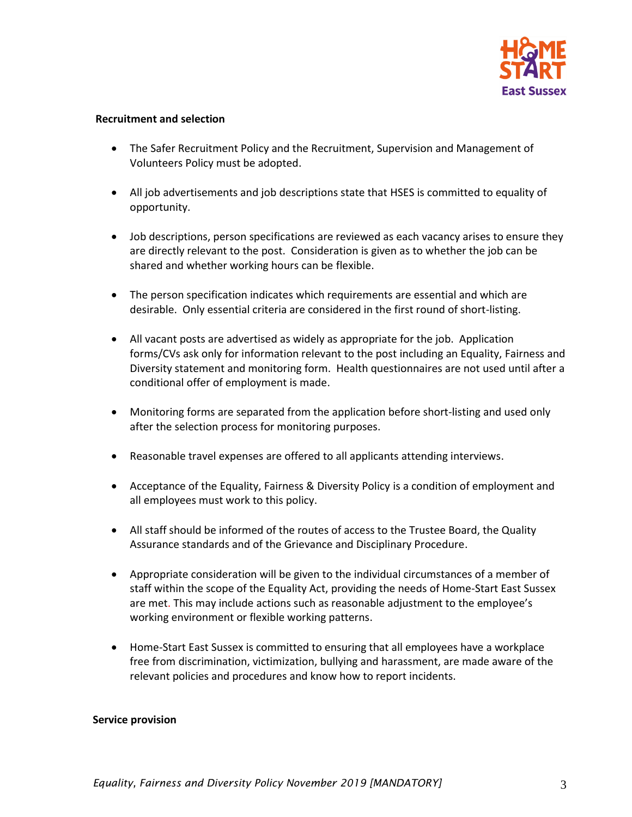

### **Recruitment and selection**

- The Safer Recruitment Policy and the Recruitment, Supervision and Management of Volunteers Policy must be adopted.
- All job advertisements and job descriptions state that HSES is committed to equality of opportunity.
- Job descriptions, person specifications are reviewed as each vacancy arises to ensure they are directly relevant to the post. Consideration is given as to whether the job can be shared and whether working hours can be flexible.
- The person specification indicates which requirements are essential and which are desirable. Only essential criteria are considered in the first round of short-listing.
- All vacant posts are advertised as widely as appropriate for the job. Application forms/CVs ask only for information relevant to the post including an Equality, Fairness and Diversity statement and monitoring form. Health questionnaires are not used until after a conditional offer of employment is made.
- Monitoring forms are separated from the application before short-listing and used only after the selection process for monitoring purposes.
- Reasonable travel expenses are offered to all applicants attending interviews.
- Acceptance of the Equality, Fairness & Diversity Policy is a condition of employment and all employees must work to this policy.
- All staff should be informed of the routes of access to the Trustee Board, the Quality Assurance standards and of the Grievance and Disciplinary Procedure.
- Appropriate consideration will be given to the individual circumstances of a member of staff within the scope of the Equality Act, providing the needs of Home-Start East Sussex are met. This may include actions such as reasonable adjustment to the employee's working environment or flexible working patterns.
- Home-Start East Sussex is committed to ensuring that all employees have a workplace free from discrimination, victimization, bullying and harassment, are made aware of the relevant policies and procedures and know how to report incidents.

#### **Service provision**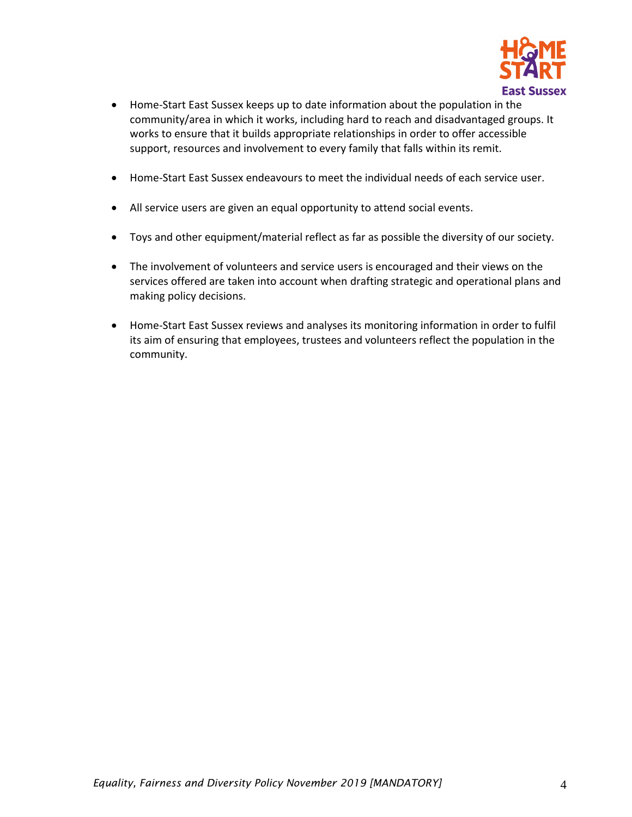

- Home-Start East Sussex keeps up to date information about the population in the community/area in which it works, including hard to reach and disadvantaged groups. It works to ensure that it builds appropriate relationships in order to offer accessible support, resources and involvement to every family that falls within its remit.
- Home-Start East Sussex endeavours to meet the individual needs of each service user.
- All service users are given an equal opportunity to attend social events.
- Toys and other equipment/material reflect as far as possible the diversity of our society.
- The involvement of volunteers and service users is encouraged and their views on the services offered are taken into account when drafting strategic and operational plans and making policy decisions.
- Home-Start East Sussex reviews and analyses its monitoring information in order to fulfil its aim of ensuring that employees, trustees and volunteers reflect the population in the community.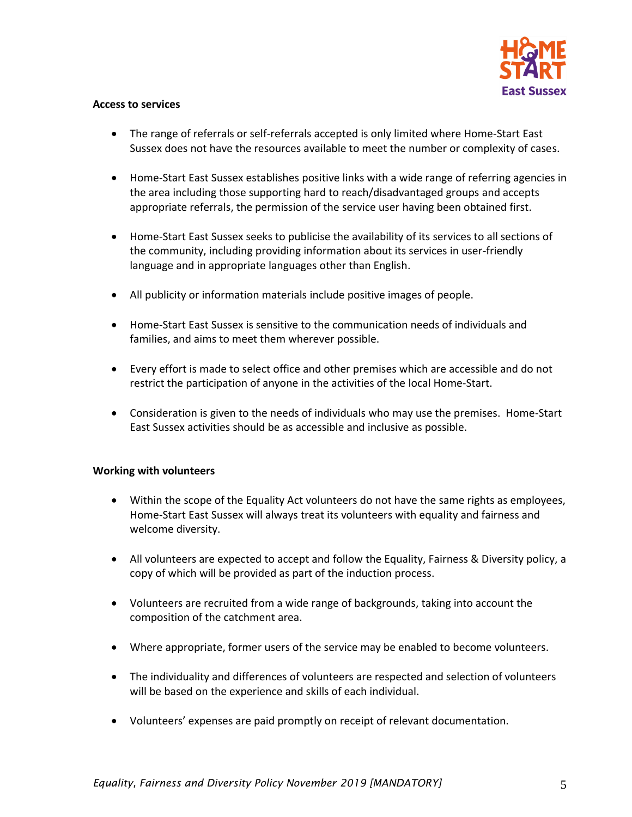

# **Access to services**

- The range of referrals or self-referrals accepted is only limited where Home-Start East Sussex does not have the resources available to meet the number or complexity of cases.
- Home-Start East Sussex establishes positive links with a wide range of referring agencies in the area including those supporting hard to reach/disadvantaged groups and accepts appropriate referrals, the permission of the service user having been obtained first.
- Home-Start East Sussex seeks to publicise the availability of its services to all sections of the community, including providing information about its services in user-friendly language and in appropriate languages other than English.
- All publicity or information materials include positive images of people.
- Home-Start East Sussex is sensitive to the communication needs of individuals and families, and aims to meet them wherever possible.
- Every effort is made to select office and other premises which are accessible and do not restrict the participation of anyone in the activities of the local Home-Start.
- Consideration is given to the needs of individuals who may use the premises. Home-Start East Sussex activities should be as accessible and inclusive as possible.

# **Working with volunteers**

- Within the scope of the Equality Act volunteers do not have the same rights as employees, Home-Start East Sussex will always treat its volunteers with equality and fairness and welcome diversity.
- All volunteers are expected to accept and follow the Equality, Fairness & Diversity policy, a copy of which will be provided as part of the induction process.
- Volunteers are recruited from a wide range of backgrounds, taking into account the composition of the catchment area.
- Where appropriate, former users of the service may be enabled to become volunteers.
- The individuality and differences of volunteers are respected and selection of volunteers will be based on the experience and skills of each individual.
- Volunteers' expenses are paid promptly on receipt of relevant documentation.